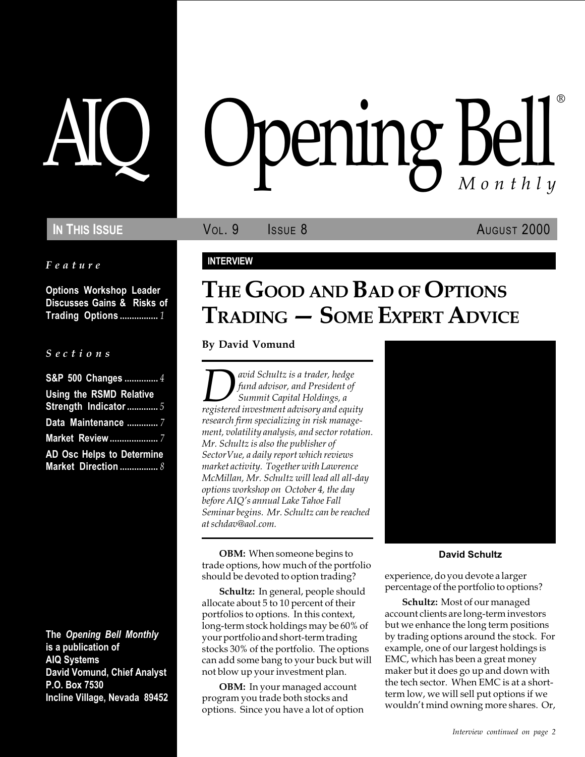#### Feature

Options Workshop Leader Discusses Gains & Risks of Trading Options ................. 1

#### S e c t i o n s

| S&P 500 Changes  4             |
|--------------------------------|
| <b>Using the RSMD Relative</b> |
| Strength Indicator  5          |
| Data Maintenance  7            |
| <b>Market Review </b> 7        |
| AD Osc Helps to Determine      |
| Market Direction  8            |

The Opening Bell Monthly is a publication of AIQ Systems David Vomund, Chief Analyst P.O. Box 7530 Incline Village, Nevada 89452

# pening Bell ®

**IN THIS ISSUE VOL. 9** ISSUE 8 AUGUST 2000

### INTERVIEW

# THE GOOD AND BAD OF OPTIONS TRADING - SOME EXPERT ADVICE

By David Vomund

*Quoid Schultz is a trader, hedge*<br>fund advisor, and President of<br>registered investment advisory and equity fund advisor, and President of Summit Capital Holdings, a research firm specializing in risk management, volatility analysis, and sector rotation. Mr. Schultz is also the publisher of SectorVue, a daily report which reviews market activity. Together with Lawrence McMillan, Mr. Schultz will lead all all-day options workshop on October 4, the day before AIQ's annual Lake Tahoe Fall Seminar begins. Mr. Schultz can be reached at schdav@aol.com.

OBM: When someone begins to trade options, how much of the portfolio should be devoted to option trading?

Schultz: In general, people should allocate about 5 to 10 percent of their portfolios to options. In this context, long-term stock holdings may be 60% of your portfolio and short-term trading stocks 30% of the portfolio. The options can add some bang to your buck but will not blow up your investment plan.

OBM: In your managed account program you trade both stocks and options. Since you have a lot of option



#### David Schultz

experience, do you devote a larger percentage of the portfolio to options?

Schultz: Most of our managed account clients are long-term investors but we enhance the long term positions by trading options around the stock. For example, one of our largest holdings is EMC, which has been a great money maker but it does go up and down with the tech sector. When EMC is at a shortterm low, we will sell put options if we wouldn't mind owning more shares. Or,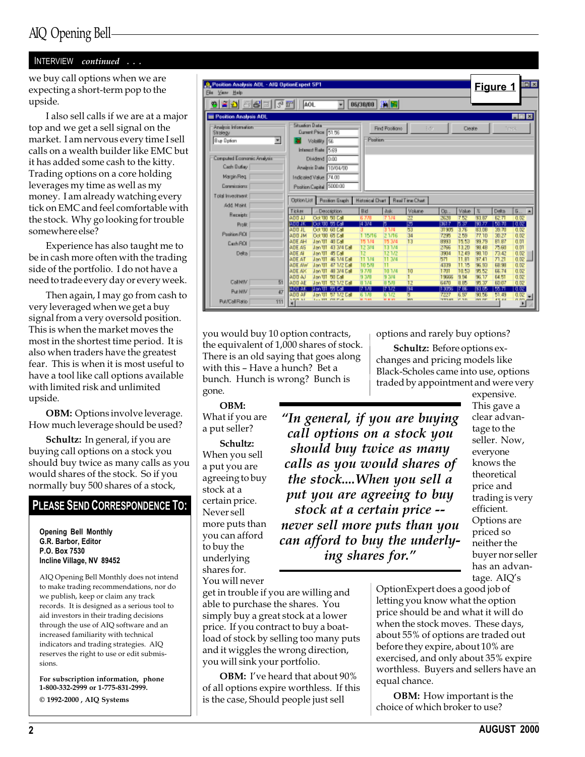#### INTERVIEW continued . . .

we buy call options when we are expecting a short-term pop to the upside.

I also sell calls if we are at a major top and we get a sell signal on the market. I am nervous every time I sell calls on a wealth builder like EMC but it has added some cash to the kitty. Trading options on a core holding leverages my time as well as my money. I am already watching every tick on EMC and feel comfortable with the stock. Why go looking for trouble somewhere else?

Experience has also taught me to be in cash more often with the trading side of the portfolio. I do not have a need to trade every day or every week.

Then again, I may go from cash to very leveraged when we get a buy signal from a very oversold position. This is when the market moves the most in the shortest time period. It is also when traders have the greatest fear. This is when it is most useful to have a tool like call options available with limited risk and unlimited upside.

**OBM:** Options involve leverage. How much leverage should be used?

Schultz: In general, if you are buying call options on a stock you should buy twice as many calls as you would shares of the stock. So if you normally buy 500 shares of a stock,

## PLEASE SEND CORRESPONDENCE TO:

Opening Bell Monthly G.R. Barbor, Editor P.O. Box 7530 Incline Village, NV 89452

AIQ Opening Bell Monthly does not intend to make trading recommendations, nor do we publish, keep or claim any track records. It is designed as a serious tool to aid investors in their trading decisions through the use of AIQ software and an increased familiarity with technical indicators and trading strategies. AIQ reserves the right to use or edit submissions.

For subscription information, phone 1-800-332-2999 or 1-775-831-2999.

 $\odot$  1992-2000 , AIQ Systems

| <b>Jt.</b> Position Analysis ADL - AID OptionExpert SP1<br>Ele View Help           |                                                                                    |                                                     |                                                 |                                              | 同区<br>Figure 1                   |
|------------------------------------------------------------------------------------|------------------------------------------------------------------------------------|-----------------------------------------------------|-------------------------------------------------|----------------------------------------------|----------------------------------|
| 6 E 5 F<br>이별한                                                                     | AOL.<br>٠                                                                          | 阿图<br>06/30/00                                      |                                                 |                                              |                                  |
| Position Analysis ADL                                                              |                                                                                    |                                                     |                                                 |                                              | 周回区                              |
| Analysis Information:<br>Strategy<br>Buy Dpfon<br>×<br>Computed Economic Analysis: | <b>Situation Data</b><br>Dunmit Price 51.56<br>Volatility 56<br>Interest Rate 5.69 | Find Pasifians<br>Position                          | Edn.                                            | Cleate                                       | <b>Inck</b>                      |
| Cash Bullay                                                                        | Dividend 0.00                                                                      |                                                     |                                                 |                                              |                                  |
|                                                                                    | Analysis Date 10/04/00                                                             |                                                     |                                                 |                                              |                                  |
| Margin Reg.                                                                        | Indicated Value 74.00                                                              |                                                     |                                                 |                                              |                                  |
| Commissions                                                                        | Position Capital 5000.00                                                           |                                                     |                                                 |                                              |                                  |
| Total Investment                                                                   |                                                                                    |                                                     |                                                 |                                              |                                  |
| Add Maint                                                                          | Option List<br>Pazition Braph                                                      | <b>Historical Chart</b>                             | <b>Real Time Chart</b>                          |                                              |                                  |
| <b>Heceipts</b>                                                                    | Ticker<br>Description                                                              | Bid<br><b>Ask</b>                                   | Volume<br>Op.                                   | Volue<br>匩                                   | Delta<br>$5 -$<br>×              |
|                                                                                    | A00 JJ<br>Oct '00 50 Eal<br><b>Look foot and Look</b><br>910 10                    | 7.174<br>6 7 N<br>14 3/4                            | 22<br>2628<br>ाऊ<br>last f                      | 7.62<br>33.B7<br>80 ZZ                       | 0.02<br>62.71<br>100.70<br>तिष्ट |
| Profit:                                                                            | <b>ANN JL</b><br>Oct '00 60 Eal                                                    | п.<br>3.174                                         | 53<br>31835                                     | 6.37<br>3.76<br>83.08                        | 39.70<br>0.02                    |
| Position ROI                                                                       | <b>ADD JM</b><br>Oct 100 65 Ext                                                    | 21/16<br>1.15/16                                    | 34<br>7230                                      | 2.59<br>77.10                                | 30.27<br>0.02                    |
| Cash ROI                                                                           | ADE AH<br>Jan 01 40 Eal                                                            | 15 3/4<br>15174                                     | 13<br>8333                                      | 15.53<br>33.79                               | <b>B1.87</b><br>0.01             |
|                                                                                    | ADE AS<br>43 3/4 DV<br>TD' ns L                                                    | 12.3/4<br>13174                                     | 2766                                            | 13.20<br>38 4B                               | 75.60<br>0.01                    |
| Delta                                                                              | ADE AL<br><b>STEM</b><br>Jan 111<br><b>ADF AT</b><br>46.174 E.M<br>Jan YII         | 12<br>12.1/2<br>11.1/4<br>11 3/4                    | 3904<br>571                                     | 1249<br>98.10<br>11.B1<br>97.41              | 73.42<br>0.02<br>71.21<br>0.02   |
|                                                                                    | <b>ATE AW</b><br>TD' ns L<br>47.172 DAI                                            | m<br>10 5/9                                         | 4339                                            | 11.15<br>96.53                               | <b>a</b> te<br><b>EB.38</b>      |
|                                                                                    | ADE AX<br>Jan 01<br>49 3/4 Dal                                                     | 97/9<br>10174                                       | 10<br>1701                                      | 10.53<br>95.52                               | 0.02<br>66.74                    |
|                                                                                    | <b>ADD AJ</b><br>Jan 111<br><b>100 E.M.</b>                                        | 9.3/9<br>9 3/4                                      | 1966                                            | <b>9.54</b><br>96.17                         | <b>Q.DZ</b><br>54.51             |
| 51<br>CallMM                                                                       | <b>ADD AF</b><br>Jan 01 52 1/2 Eal                                                 | 8.5/8<br>81/4                                       | 12<br>6470                                      | 8.85<br>95.37                                | 60.07<br>0.02                    |
| $\overline{47}$<br><b>Put MIV</b>                                                  | <b>STIL SK</b><br>Til an Yff                                                       | 718<br>17172                                        | छा<br>13003                                     | 83 D.S<br>17. P.S                            | 55.71<br>तिष्ट                   |
|                                                                                    | <b>ARR AF</b><br>Jan VII - 57 172 Eal<br><b>APPLET</b><br>Law Mill, CVI Platt      | 6.1/8<br>6.1/2<br><b>MENT BY</b><br><b>WE BE AN</b> | 5<br>7227<br><b>Second</b><br><b>STATISTICS</b> | 6.87<br>9155<br><b>PER</b><br><b>PMT PWT</b> | 51.49<br>0.02<br>47, 88          |
| 111<br><b>Pub/Call Ratio</b>                                                       |                                                                                    |                                                     |                                                 |                                              |                                  |

you would buy 10 option contracts, the equivalent of 1,000 shares of stock. There is an old saying that goes along with this - Have a hunch? Bet a bunch. Hunch is wrong? Bunch is gone.

#### OBM:

What if you are a put seller?

Schultz: When you sell a put you are agreeing to buy stock at a certain price. Never sell more puts than you can afford to buy the underlying shares for. You will never

get in trouble if you are willing and able to purchase the shares. You simply buy a great stock at a lower price. If you contract to buy a boatload of stock by selling too many puts and it wiggles the wrong direction, you will sink your portfolio.

OBM: I've heard that about 90% of all options expire worthless. If this is the case, Should people just sell

options and rarely buy options?

Schultz: Before options exchanges and pricing models like Black-Scholes came into use, options traded by appointment and were very

"In general, if you are buying call options on a stock you should buy twice as many calls as you would shares of the stock....When you sell a put you are agreeing to buy stock at a certain price - never sell more puts than you can afford to buy the underlying shares for.

expensive. This gave a clear advantage to the seller. Now, everyone knows the theoretical price and trading is very efficient. Options are priced so neither the buyer nor seller has an advantage. AIQ's

OptionExpert does a good job of letting you know what the option price should be and what it will do when the stock moves. These days, about 55% of options are traded out before they expire, about 10% are exercised, and only about 35% expire worthless. Buyers and sellers have an equal chance.

**OBM:** How important is the choice of which broker to use?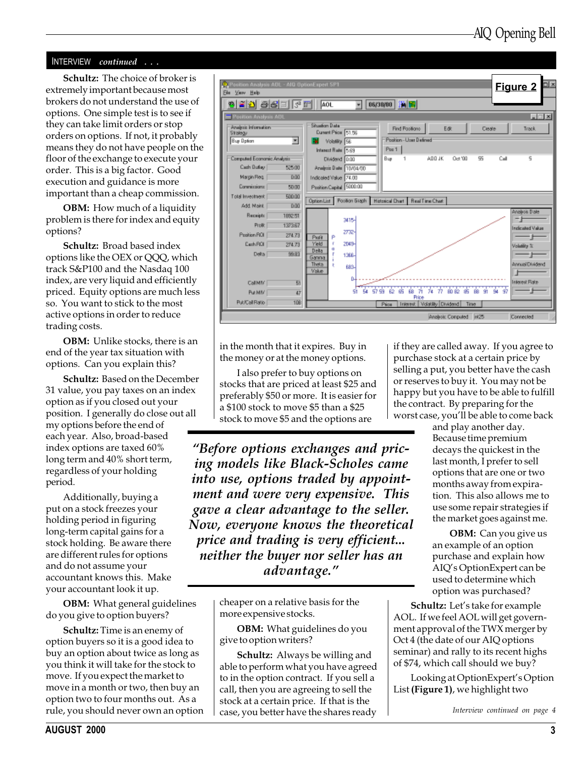#### INTERVIEW continued . . .

Schultz: The choice of broker is extremely important because most brokers do not understand the use of options. One simple test is to see if they can take limit orders or stop orders on options. If not, it probably means they do not have people on the floor of the exchange to execute your order. This is a big factor. Good execution and guidance is more important than a cheap commission.

**OBM:** How much of a liquidity problem is there for index and equity options?

Schultz: Broad based index options like the OEX or QQQ, which track S&P100 and the Nasdaq 100 index, are very liquid and efficiently priced. Equity options are much less so. You want to stick to the most active options in order to reduce trading costs.

OBM: Unlike stocks, there is an end of the year tax situation with options. Can you explain this?

Schultz: Based on the December 31 value, you pay taxes on an index option as if you closed out your position. I generally do close out all my options before the end of each year. Also, broad-based index options are taxed 60% long term and 40% short term, regardless of your holding period.

Additionally, buying a put on a stock freezes your holding period in figuring long-term capital gains for a stock holding. Be aware there are different rules for options and do not assume your accountant knows this. Make your accountant look it up.

OBM: What general guidelines do you give to option buyers?

Schultz: Time is an enemy of option buyers so it is a good idea to buy an option about twice as long as you think it will take for the stock to move. If you expect the market to move in a month or two, then buy an option two to four months out. As a rule, you should never own an option



in the month that it expires. Buy in the money or at the money options.

I also prefer to buy options on stocks that are priced at least \$25 and preferably \$50 or more. It is easier for a \$100 stock to move \$5 than a \$25 stock to move \$5 and the options are

Before options exchanges and pricing models like Black-Scholes came into use, options traded by appointment and were very expensive. This gave a clear advantage to the seller. Now, everyone knows the theoretical price and trading is very efficient... neither the buyer nor seller has an advantage.

> cheaper on a relative basis for the more expensive stocks.

OBM: What guidelines do you give to option writers?

Schultz: Always be willing and able to perform what you have agreed to in the option contract. If you sell a call, then you are agreeing to sell the stock at a certain price. If that is the case, you better have the shares ready

if they are called away. If you agree to purchase stock at a certain price by selling a put, you better have the cash or reserves to buy it. You may not be happy but you have to be able to fulfill the contract. By preparing for the worst case, you'll be able to come back

> and play another day. Because time premium decays the quickest in the last month, I prefer to sell options that are one or two months away from expiration. This also allows me to use some repair strategies if the market goes against me.

**OBM:** Can you give us an example of an option purchase and explain how AIQ's OptionExpert can be used to determine which option was purchased?

Schultz: Let's take for example AOL. If we feel AOL will get government approval of the TWX merger by Oct 4 (the date of our AIQ options seminar) and rally to its recent highs of \$74, which call should we buy?

Looking at OptionExpert's Option List (Figure 1), we highlight two

Interview continued on page 4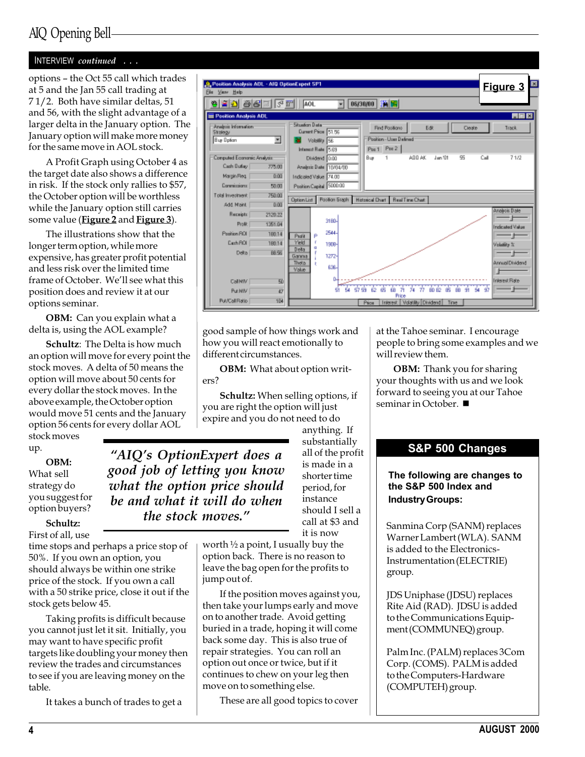## AIQ Opening Bell

#### INTERVIEW continued . . .

options - the Oct 55 call which trades at 5 and the Jan 55 call trading at 7 1/2. Both have similar deltas, 51 and 56, with the slight advantage of a larger delta in the January option. The January option will make more money for the same move in AOL stock.

A Profit Graph using October 4 as the target date also shows a difference in risk. If the stock only rallies to \$57, the October option will be worthless while the January option still carries some value (Figure 2 and Figure 3).

The illustrations show that the longer term option, while more expensive, has greater profit potential and less risk over the limited time frame of October. We'll see what this position does and review it at our options seminar.

OBM: Can you explain what a delta is, using the AOL example?

Schultz: The Delta is how much an option will move for every point the stock moves. A delta of 50 means the option will move about 50 cents for every dollar the stock moves. In the above example, the October option would move 51 cents and the January option 56 cents for every dollar AOL

stock moves up.

OBM: What sell strategy do you suggest for option buyers?

Schultz: First of all, use

time stops and perhaps a price stop of 50%. If you own an option, you should always be within one strike price of the stock. If you own a call with a 50 strike price, close it out if the stock gets below 45.

Taking profits is difficult because you cannot just let it sit. Initially, you may want to have specific profit targets like doubling your money then review the trades and circumstances to see if you are leaving money on the table.

It takes a bunch of trades to get a



good sample of how things work and how you will react emotionally to different circumstances.

OBM: What about option writers?

Schultz: When selling options, if you are right the option will just expire and you do not need to do anything. If

"AIQ's OptionExpert does a good job of letting you know what the option price should be and what it will do when the stock moves."

substantially all of the profit is made in a shorter time period, for instance should I sell a call at \$3 and it is now

worth  $\frac{1}{2}$  a point, I usually buy the option back. There is no reason to leave the bag open for the profits to jump out of.

If the position moves against you, then take your lumps early and move on to another trade. Avoid getting buried in a trade, hoping it will come back some day. This is also true of repair strategies. You can roll an option out once or twice, but if it continues to chew on your leg then move on to something else.

These are all good topics to cover

at the Tahoe seminar. I encourage people to bring some examples and we will review them.

**OBM:** Thank you for sharing your thoughts with us and we look forward to seeing you at our Tahoe seminar in October.  $\blacksquare$ 

#### S&P 500 Changes

#### The following are changes to the S&P 500 Index and Industry Groups:

Sanmina Corp (SANM) replaces Warner Lambert (WLA). SANM is added to the Electronics-Instrumentation (ELECTRIE) group.

JDS Uniphase (JDSU) replaces Rite Aid (RAD). JDSU is added to the Communications Equipment (COMMUNEQ) group.

Palm Inc. (PALM) replaces 3Com Corp. (COMS). PALM is added to the Computers-Hardware (COMPUTEH) group.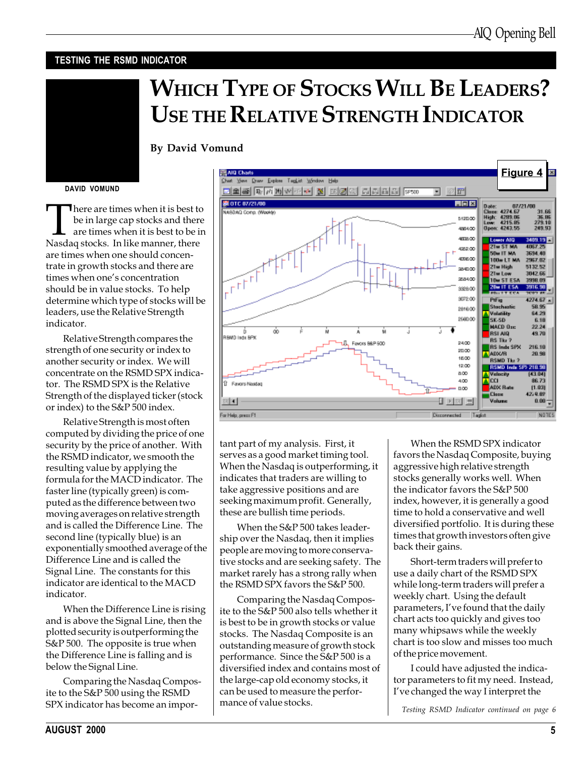#### TESTING THE RSMD INDICATOR

# WHICH TYPE OF STOCKS WILL BE LEADERS? USE THE RELATIVE STRENGTH INDICATOR

By David Vomund

#### DAVID VOMUND

There are times when it is best to<br>be in large cap stocks and there<br>are times when it is best to be ir<br>Nasdaq stocks. In like manner, there be in large cap stocks and there are times when it is best to be in are times when one should concentrate in growth stocks and there are times when one's concentration should be in value stocks. To help determine which type of stocks will be leaders, use the Relative Strength indicator.

Relative Strength compares the strength of one security or index to another security or index. We will concentrate on the RSMD SPX indicator. The RSMD SPX is the Relative Strength of the displayed ticker (stock or index) to the S&P 500 index.

Relative Strength is most often computed by dividing the price of one security by the price of another. With the RSMD indicator, we smooth the resulting value by applying the formula for the MACD indicator. The faster line (typically green) is computed as the difference between two moving averages on relative strength and is called the Difference Line. The second line (typically blue) is an exponentially smoothed average of the Difference Line and is called the Signal Line. The constants for this indicator are identical to the MACD indicator.

When the Difference Line is rising and is above the Signal Line, then the plotted security is outperforming the S&P 500. The opposite is true when the Difference Line is falling and is below the Signal Line.

Comparing the Nasdaq Composite to the S&P 500 using the RSMD SPX indicator has become an impor-



tant part of my analysis. First, it serves as a good market timing tool. When the Nasdaq is outperforming, it indicates that traders are willing to take aggressive positions and are seeking maximum profit. Generally, these are bullish time periods.

When the S&P 500 takes leadership over the Nasdaq, then it implies people are moving to more conservative stocks and are seeking safety. The market rarely has a strong rally when the RSMD SPX favors the S&P 500.

Comparing the Nasdaq Composite to the S&P 500 also tells whether it is best to be in growth stocks or value stocks. The Nasdaq Composite is an outstanding measure of growth stock performance. Since the S&P 500 is a diversified index and contains most of the large-cap old economy stocks, it can be used to measure the performance of value stocks.

When the RSMD SPX indicator favors the Nasdaq Composite, buying aggressive high relative strength stocks generally works well. When the indicator favors the S&P 500 index, however, it is generally a good time to hold a conservative and well diversified portfolio. It is during these times that growth investors often give back their gains.

Short-term traders will prefer to use a daily chart of the RSMD SPX while long-term traders will prefer a weekly chart. Using the default parameters, I've found that the daily chart acts too quickly and gives too many whipsaws while the weekly chart is too slow and misses too much of the price movement.

I could have adjusted the indicator parameters to fit my need. Instead, Ive changed the way I interpret the

Testing RSMD Indicator continued on page 6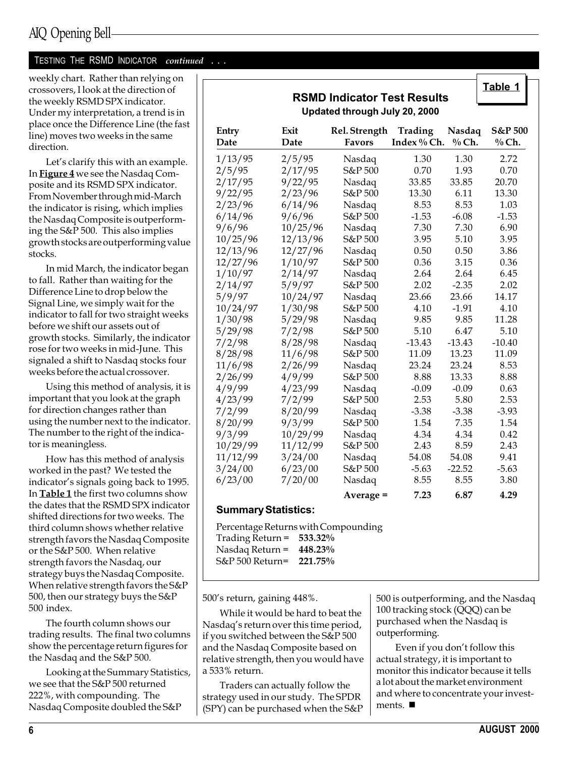TESTING THE RSMD INDICATOR continued . . .

weekly chart. Rather than relying on crossovers, I look at the direction of the weekly RSMD SPX indicator. Under my interpretation, a trend is in place once the Difference Line (the fast line) moves two weeks in the same direction.

Let's clarify this with an example. In **Figure 4** we see the Nasdaq Composite and its RSMD SPX indicator. From November through mid-March the indicator is rising, which implies the Nasdaq Composite is outperforming the S&P 500. This also implies growth stocks are outperforming value stocks.

In mid March, the indicator began to fall. Rather than waiting for the Difference Line to drop below the Signal Line, we simply wait for the indicator to fall for two straight weeks before we shift our assets out of growth stocks. Similarly, the indicator rose for two weeks in mid-June. This signaled a shift to Nasdaq stocks four weeks before the actual crossover.

Using this method of analysis, it is important that you look at the graph for direction changes rather than using the number next to the indicator. The number to the right of the indicator is meaningless.

How has this method of analysis worked in the past? We tested the indicator's signals going back to 1995. In Table 1 the first two columns show the dates that the RSMD SPX indicator shifted directions for two weeks. The third column shows whether relative strength favors the Nasdaq Composite or the S&P 500. When relative strength favors the Nasdaq, our strategy buys the Nasdaq Composite. When relative strength favors the S&P 500, then our strategy buys the S&P 500 index.

The fourth column shows our trading results. The final two columns show the percentage return figures for the Nasdaq and the S&P 500.

Looking at the Summary Statistics, we see that the S&P 500 returned 222%, with compounding. The Nasdaq Composite doubled the S&P

| <b>RSMD Indicator Test Results</b><br>Updated through July 20, 2000 |              |                                |                        |                   |                             |  |
|---------------------------------------------------------------------|--------------|--------------------------------|------------------------|-------------------|-----------------------------|--|
| Entry<br>Date                                                       | Exit<br>Date | Rel. Strength<br><b>Favors</b> | Trading<br>Index % Ch. | Nasdaq<br>$%$ Ch. | <b>S&amp;P 500</b><br>% Ch. |  |
| 1/13/95                                                             | 2/5/95       | Nasdaq                         | 1.30                   | 1.30              | 2.72                        |  |
| 2/5/95                                                              | 2/17/95      | S&P 500                        | 0.70                   | 1.93              | 0.70                        |  |
| 2/17/95                                                             | 9/22/95      | Nasdaq                         | 33.85                  | 33.85             | 20.70                       |  |
| 9/22/95                                                             | 2/23/96      | S&P 500                        | 13.30                  | 6.11              | 13.30                       |  |
| 2/23/96                                                             | 6/14/96      | Nasdaq                         | 8.53                   | 8.53              | 1.03                        |  |
| 6/14/96                                                             | 9/6/96       | S&P 500                        | $-1.53$                | $-6.08$           | $-1.53$                     |  |
| 9/6/96                                                              | 10/25/96     | Nasdaq                         | 7.30                   | 7.30              | 6.90                        |  |
| 10/25/96                                                            | 12/13/96     | S&P 500                        | 3.95                   | 5.10              | 3.95                        |  |
| 12/13/96                                                            | 12/27/96     | Nasdaq                         | 0.50                   | 0.50              | 3.86                        |  |
| 12/27/96                                                            | 1/10/97      | S&P 500                        | 0.36                   | 3.15              | 0.36                        |  |
| 1/10/97                                                             | 2/14/97      | Nasdaq                         | 2.64                   | 2.64              | 6.45                        |  |
| 2/14/97                                                             | 5/9/97       | S&P 500                        | 2.02                   | $-2.35$           | 2.02                        |  |
| 5/9/97                                                              | 10/24/97     | Nasdaq                         | 23.66                  | 23.66             | 14.17                       |  |
| 10/24/97                                                            | 1/30/98      | S&P 500                        | 4.10                   | $-1.91$           | 4.10                        |  |
| 1/30/98                                                             | 5/29/98      | Nasdaq                         | 9.85                   | 9.85              | 11.28                       |  |
| 5/29/98                                                             | 7/2/98       | S&P 500                        | 5.10                   | 6.47              | 5.10                        |  |
| 7/2/98                                                              | 8/28/98      | Nasdaq                         | $-13.43$               | $-13.43$          | $-10.40$                    |  |
| 8/28/98                                                             | 11/6/98      | S&P 500                        | 11.09                  | 13.23             | 11.09                       |  |
| 11/6/98                                                             | 2/26/99      | Nasdaq                         | 23.24                  | 23.24             | 8.53                        |  |
| 2/26/99                                                             | 4/9/99       | S&P 500                        | 8.88                   | 13.33             | 8.88                        |  |
| 4/9/99                                                              | 4/23/99      | Nasdaq                         | $-0.09$                | $-0.09$           | 0.63                        |  |
| 4/23/99                                                             | 7/2/99       | S&P 500                        | 2.53                   | 5.80              | 2.53                        |  |
| 7/2/99                                                              | 8/20/99      | Nasdaq                         | $-3.38$                | $-3.38$           | $-3.93$                     |  |
| 8/20/99                                                             | 9/3/99       | S&P 500                        | 1.54                   | 7.35              | 1.54                        |  |
| 9/3/99                                                              | 10/29/99     | Nasdaq                         | 4.34                   | 4.34              | 0.42                        |  |
| 10/29/99                                                            | 11/12/99     | S&P 500                        | 2.43                   | 8.59              | 2.43                        |  |
| 11/12/99                                                            | 3/24/00      | Nasdaq                         | 54.08                  | 54.08             | 9.41                        |  |
| 3/24/00                                                             | 6/23/00      | S&P 500                        | $-5.63$                | $-22.52$          | $-5.63$                     |  |

6/23/00 7/20/00 Nasdaq 8.55 8.55 3.80

#### Summary Statistics:

Percentage Returns with Compounding Trading Return = 533.32% Nasdaq Return  $=$  448.23% S&P 500 Return= 221.75%

500's return, gaining 448%.

While it would be hard to beat the Nasdaq's return over this time period, if you switched between the S&P 500 and the Nasdaq Composite based on relative strength, then you would have a 533% return.

Traders can actually follow the strategy used in our study. The SPDR (SPY) can be purchased when the S&P 500 is outperforming, and the Nasdaq 100 tracking stock (QQQ) can be purchased when the Nasdaq is outperforming.

Average = 7.23 6.87 4.29

Even if you don't follow this actual strategy, it is important to monitor this indicator because it tells a lot about the market environment and where to concentrate your investments.  $\blacksquare$ 

 $\mathsf{\overline{1}}$  Table 1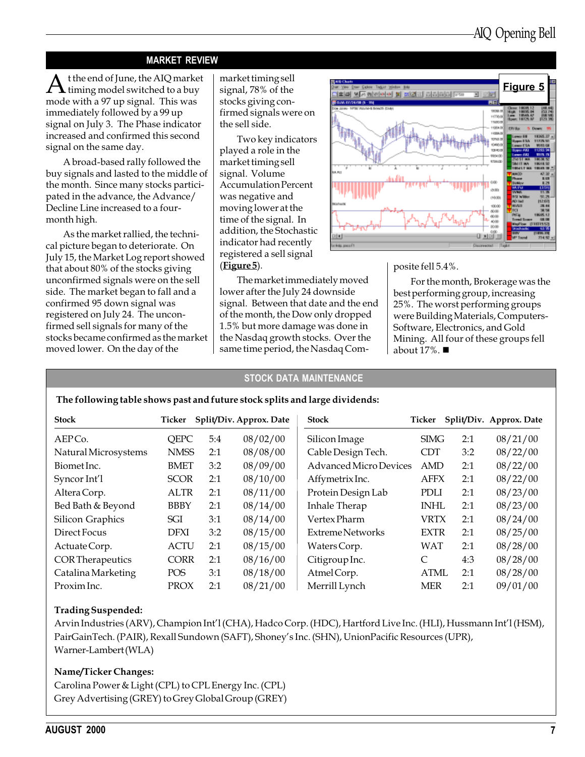#### MARKET REVIEW

At the end of June, the AIQ market  $\blacktriangle$  timing model switched to a buy mode with a 97 up signal. This was immediately followed by a 99 up signal on July 3. The Phase indicator increased and confirmed this second signal on the same day.

A broad-based rally followed the buy signals and lasted to the middle of the month. Since many stocks participated in the advance, the Advance/ Decline Line increased to a fourmonth high.

As the market rallied, the technical picture began to deteriorate. On July 15, the Market Log report showed that about 80% of the stocks giving unconfirmed signals were on the sell side. The market began to fall and a confirmed 95 down signal was registered on July 24. The unconfirmed sell signals for many of the stocks became confirmed as the market moved lower. On the day of the

market timing sell signal, 78% of the stocks giving confirmed signals were on the sell side.

Two key indicators played a role in the market timing sell signal. Volume Accumulation Percent was negative and moving lower at the time of the signal. In addition, the Stochastic indicator had recently registered a sell signal  $(Figure 5)$ .

The market immediately moved lower after the July 24 downside signal. Between that date and the end of the month, the Dow only dropped 1.5% but more damage was done in the Nasdaq growth stocks. Over the same time period, the Nasdaq Com-



posite fell 5.4%.

For the month, Brokerage was the best performing group, increasing 25%. The worst performing groups were Building Materials, Computers-Software, Electronics, and Gold Mining. All four of these groups fell about  $17\%$ .

#### STOCK DATA MAINTENANCE

#### The following table shows past and future stock splits and large dividends:

| <b>Stock</b>            | Ticker      |     | Split/Div. Approx. Date | <b>Stock</b>                  | Ticker      |     | Split/Div. Approx. Date |
|-------------------------|-------------|-----|-------------------------|-------------------------------|-------------|-----|-------------------------|
| AEPCo.                  | <b>QEPC</b> | 5:4 | 08/02/00                | Silicon Image                 | <b>SIMG</b> | 2:1 | 08/21/00                |
| Natural Microsystems    | <b>NMSS</b> | 2:1 | 08/08/00                | Cable Design Tech.            | <b>CDT</b>  | 3:2 | 08/22/00                |
| Biomet Inc.             | <b>BMET</b> | 3:2 | 08/09/00                | <b>Advanced Micro Devices</b> | AMD         | 2:1 | 08/22/00                |
| Syncor Int'l            | <b>SCOR</b> | 2:1 | 08/10/00                | Affymetrix Inc.               | <b>AFFX</b> | 2:1 | 08/22/00                |
| Altera Corp.            | <b>ALTR</b> | 2:1 | 08/11/00                | Protein Design Lab            | <b>PDLI</b> | 2:1 | 08/23/00                |
| Bed Bath & Beyond       | <b>BBBY</b> | 2:1 | 08/14/00                | Inhale Therap                 | <b>INHL</b> | 2:1 | 08/23/00                |
| <b>Silicon Graphics</b> | SGI         | 3:1 | 08/14/00                | Vertex Pharm                  | <b>VRTX</b> | 2:1 | 08/24/00                |
| Direct Focus            | <b>DFXI</b> | 3:2 | 08/15/00                | <b>Extreme Networks</b>       | <b>EXTR</b> | 2:1 | 08/25/00                |
| Actuate Corp.           | <b>ACTU</b> | 2:1 | 08/15/00                | Waters Corp.                  | <b>WAT</b>  | 2:1 | 08/28/00                |
| <b>CORTherapeutics</b>  | <b>CORR</b> | 2:1 | 08/16/00                | Citigroup Inc.                | C           | 4:3 | 08/28/00                |
| Catalina Marketing      | <b>POS</b>  | 3:1 | 08/18/00                | AtmelCorp.                    | <b>ATML</b> | 2:1 | 08/28/00                |
| Proxim Inc.             | <b>PROX</b> | 2:1 | 08/21/00                | Merrill Lynch                 | <b>MER</b>  | 2:1 | 09/01/00                |

#### Trading Suspended:

Arvin Industries (ARV), Champion Int'l (CHA), Hadco Corp. (HDC), Hartford Live Inc. (HLI), Hussmann Int'l (HSM), PairGainTech. (PAIR), Rexall Sundown (SAFT), Shoney's Inc. (SHN), UnionPacific Resources (UPR), Warner-Lambert (WLA)

#### Name/Ticker Changes:

Carolina Power & Light (CPL) to CPL Energy Inc. (CPL) Grey Advertising (GREY) to Grey Global Group (GREY)